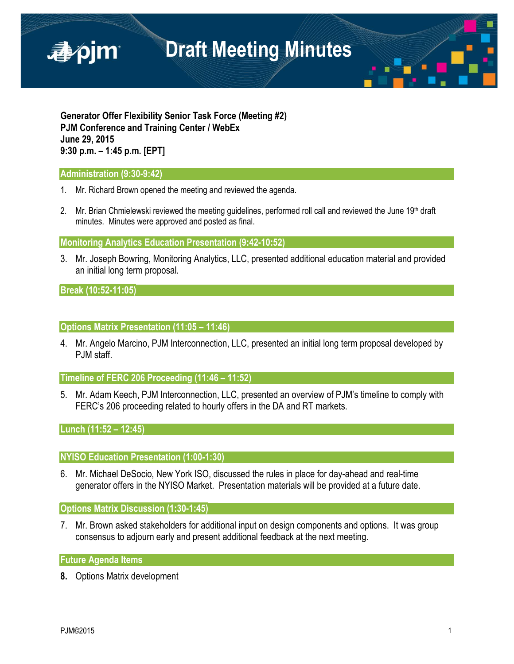

**Generator Offer Flexibility Senior Task Force (Meeting #2) PJM Conference and Training Center / WebEx June 29, 2015 9:30 p.m. – 1:45 p.m. [EPT]**

## **Administration (9:30-9:42)**

- 1. Mr. Richard Brown opened the meeting and reviewed the agenda.
- 2. Mr. Brian Chmielewski reviewed the meeting guidelines, performed roll call and reviewed the June 19<sup>th</sup> draft minutes. Minutes were approved and posted as final.

**Monitoring Analytics Education Presentation (9:42-10:52)** 

3. Mr. Joseph Bowring, Monitoring Analytics, LLC, presented additional education material and provided an initial long term proposal.

**Break (10:52-11:05)** 

**Options Matrix Presentation (11:05 – 11:46)**

4. Mr. Angelo Marcino, PJM Interconnection, LLC, presented an initial long term proposal developed by PJM staff.

**Timeline of FERC 206 Proceeding (11:46 – 11:52)**

5. Mr. Adam Keech, PJM Interconnection, LLC, presented an overview of PJM's timeline to comply with FERC's 206 proceeding related to hourly offers in the DA and RT markets.

## **Lunch (11:52 – 12:45)**

### **NYISO Education Presentation (1:00-1:30)**

6. Mr. Michael DeSocio, New York ISO, discussed the rules in place for day-ahead and real-time generator offers in the NYISO Market. Presentation materials will be provided at a future date.

### **Options Matrix Discussion (1:30-1:45)**

7. Mr. Brown asked stakeholders for additional input on design components and options. It was group consensus to adjourn early and present additional feedback at the next meeting.

### **Future Agenda Items**

**8.** Options Matrix development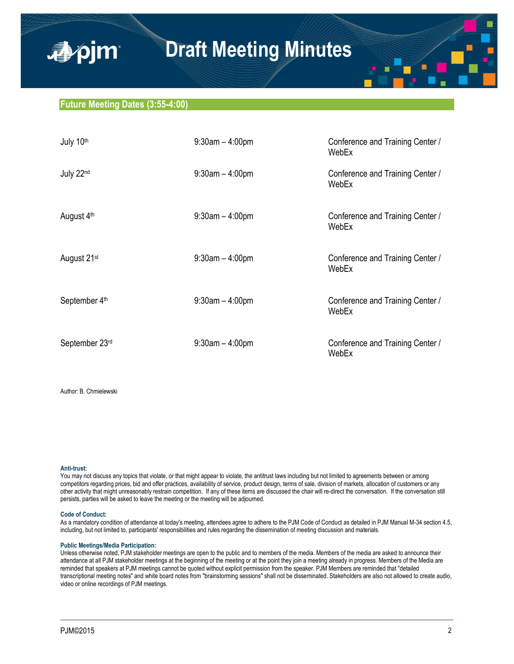## **Future Meeting Dates (3:55-4:00)**

■pim

| July 10th               | $9:30$ am $-4:00$ pm | Conference and Training Center /<br>WebEx |
|-------------------------|----------------------|-------------------------------------------|
| July 22nd               | $9:30$ am $-4:00$ pm | Conference and Training Center /<br>WebEx |
| August 4 <sup>th</sup>  | $9:30$ am $-4:00$ pm | Conference and Training Center /<br>WebEx |
| August 21 <sup>st</sup> | $9:30$ am $-4:00$ pm | Conference and Training Center /<br>WebEx |
| September 4th           | $9:30$ am $-4:00$ pm | Conference and Training Center /<br>WebEx |
| September 23rd          | $9:30$ am $-4:00$ pm | Conference and Training Center /<br>WebEx |

Author: B. Chmielewski

#### **Anti-trust:**

You may not discuss any topics that violate, or that might appear to violate, the antitrust laws including but not limited to agreements between or among competitors regarding prices, bid and offer practices, availability of service, product design, terms of sale, division of markets, allocation of customers or any other activity that might unreasonably restrain competition. If any of these items are discussed the chair will re-direct the conversation. If the conversation still persists, parties will be asked to leave the meeting or the meeting will be adjourned.

#### **Code of Conduct:**

As a mandatory condition of attendance at today's meeting, attendees agree to adhere to the PJM Code of Conduct as detailed in PJM Manual M-34 section 4.5, including, but not limited to, participants' responsibilities and rules regarding the dissemination of meeting discussion and materials.

#### **Public Meetings/Media Participation:**

Unless otherwise noted, PJM stakeholder meetings are open to the public and to members of the media. Members of the media are asked to announce their attendance at all PJM stakeholder meetings at the beginning of the meeting or at the point they join a meeting already in progress. Members of the Media are reminded that speakers at PJM meetings cannot be quoted without explicit permission from the speaker. PJM Members are reminded that "detailed transcriptional meeting notes" and white board notes from "brainstorming sessions" shall not be disseminated. Stakeholders are also not allowed to create audio, video or online recordings of PJM meetings.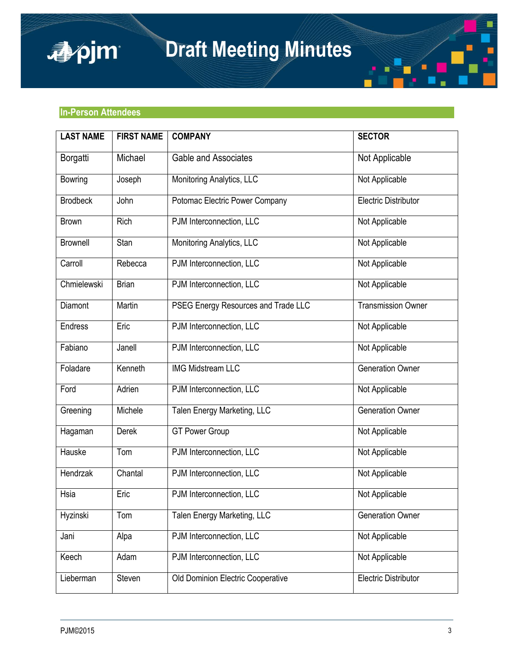

## **In-Person Attendees**

apjm

| <b>LAST NAME</b> | <b>FIRST NAME</b> | <b>COMPANY</b>                      | <b>SECTOR</b>               |
|------------------|-------------------|-------------------------------------|-----------------------------|
| Borgatti         | Michael           | Gable and Associates                | Not Applicable              |
| <b>Bowring</b>   | Joseph            | Monitoring Analytics, LLC           | Not Applicable              |
| <b>Brodbeck</b>  | John              | Potomac Electric Power Company      | <b>Electric Distributor</b> |
| <b>Brown</b>     | Rich              | PJM Interconnection, LLC            | Not Applicable              |
| <b>Brownell</b>  | Stan              | Monitoring Analytics, LLC           | Not Applicable              |
| Carroll          | Rebecca           | PJM Interconnection, LLC            | Not Applicable              |
| Chmielewski      | <b>Brian</b>      | PJM Interconnection, LLC            | Not Applicable              |
| Diamont          | Martin            | PSEG Energy Resources and Trade LLC | <b>Transmission Owner</b>   |
| <b>Endress</b>   | Eric              | PJM Interconnection, LLC            | Not Applicable              |
| Fabiano          | Janell            | PJM Interconnection, LLC            | Not Applicable              |
| Foladare         | Kenneth           | <b>IMG Midstream LLC</b>            | <b>Generation Owner</b>     |
| Ford             | Adrien            | PJM Interconnection, LLC            | Not Applicable              |
| Greening         | Michele           | Talen Energy Marketing, LLC         | <b>Generation Owner</b>     |
| Hagaman          | Derek             | <b>GT Power Group</b>               | Not Applicable              |
| Hauske           | Tom               | PJM Interconnection, LLC            | Not Applicable              |
| Hendrzak         | Chantal           | PJM Interconnection, LLC            | Not Applicable              |
| Hsia             | Eric              | PJM Interconnection, LLC            | Not Applicable              |
| Hyzinski         | Tom               | Talen Energy Marketing, LLC         | <b>Generation Owner</b>     |
| Jani             | Alpa              | PJM Interconnection, LLC            | Not Applicable              |
| Keech            | Adam              | PJM Interconnection, LLC            | Not Applicable              |
| Lieberman        | Steven            | Old Dominion Electric Cooperative   | Electric Distributor        |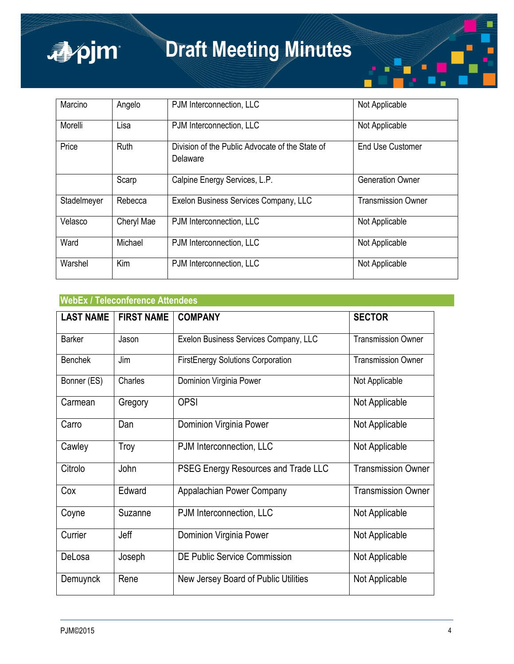

| Marcino     | Angelo      | PJM Interconnection, LLC                                    | Not Applicable            |
|-------------|-------------|-------------------------------------------------------------|---------------------------|
| Morelli     | Lisa        | PJM Interconnection, LLC                                    | Not Applicable            |
| Price       | <b>Ruth</b> | Division of the Public Advocate of the State of<br>Delaware | <b>End Use Customer</b>   |
|             | Scarp       | Calpine Energy Services, L.P.                               | <b>Generation Owner</b>   |
| Stadelmeyer | Rebecca     | Exelon Business Services Company, LLC                       | <b>Transmission Owner</b> |
| Velasco     | Cheryl Mae  | PJM Interconnection, LLC                                    | Not Applicable            |
| Ward        | Michael     | PJM Interconnection, LLC                                    | Not Applicable            |
| Warshel     | Kim         | PJM Interconnection, LLC                                    | Not Applicable            |

## **WebEx / Teleconference Attendees**

| <b>LAST NAME</b> | <b>FIRST NAME</b> | <b>COMPANY</b>                           | <b>SECTOR</b>             |
|------------------|-------------------|------------------------------------------|---------------------------|
| Barker           | Jason             | Exelon Business Services Company, LLC    | <b>Transmission Owner</b> |
| <b>Benchek</b>   | Jim               | <b>FirstEnergy Solutions Corporation</b> | <b>Transmission Owner</b> |
| Bonner (ES)      | Charles           | Dominion Virginia Power                  | Not Applicable            |
| Carmean          | Gregory           | <b>OPSI</b>                              | Not Applicable            |
| Carro            | Dan               | Dominion Virginia Power                  | Not Applicable            |
| Cawley           | Troy              | PJM Interconnection, LLC                 | Not Applicable            |
| Citrolo          | John              | PSEG Energy Resources and Trade LLC      | <b>Transmission Owner</b> |
| Cox              | Edward            | Appalachian Power Company                | <b>Transmission Owner</b> |
| Coyne            | Suzanne           | PJM Interconnection, LLC                 | Not Applicable            |
| Currier          | Jeff              | Dominion Virginia Power                  | Not Applicable            |
| DeLosa           | Joseph            | <b>DE Public Service Commission</b>      | Not Applicable            |
| Demuynck         | Rene              | New Jersey Board of Public Utilities     | Not Applicable            |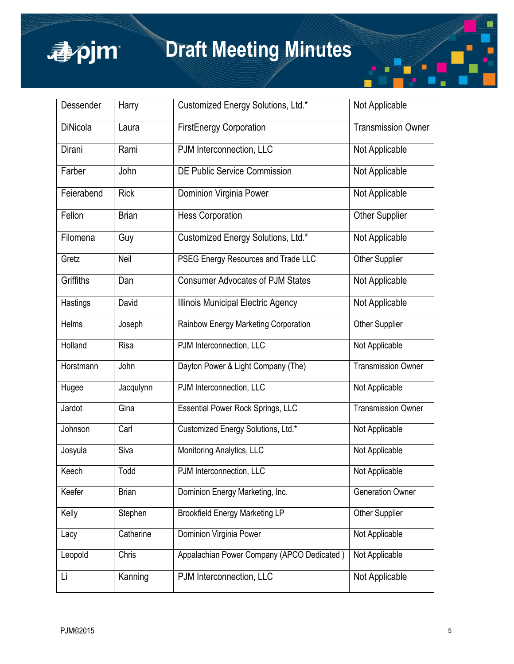

| Dessender       | Harry        | Customized Energy Solutions, Ltd.*         | Not Applicable            |
|-----------------|--------------|--------------------------------------------|---------------------------|
| <b>DiNicola</b> | Laura        | <b>FirstEnergy Corporation</b>             | <b>Transmission Owner</b> |
| Dirani          | Rami         | PJM Interconnection, LLC                   | Not Applicable            |
| Farber          | John         | DE Public Service Commission               | Not Applicable            |
| Feierabend      | <b>Rick</b>  | Dominion Virginia Power                    | Not Applicable            |
| Fellon          | <b>Brian</b> | <b>Hess Corporation</b>                    | <b>Other Supplier</b>     |
| Filomena        | Guy          | Customized Energy Solutions, Ltd.*         | Not Applicable            |
| Gretz           | Neil         | PSEG Energy Resources and Trade LLC        | Other Supplier            |
| Griffiths       | Dan          | <b>Consumer Advocates of PJM States</b>    | Not Applicable            |
| Hastings        | David        | Illinois Municipal Electric Agency         | Not Applicable            |
| Helms           | Joseph       | Rainbow Energy Marketing Corporation       | Other Supplier            |
| Holland         | Risa         | PJM Interconnection, LLC                   | Not Applicable            |
| Horstmann       | John         | Dayton Power & Light Company (The)         | <b>Transmission Owner</b> |
| Hugee           | Jacqulynn    | PJM Interconnection, LLC                   | Not Applicable            |
| Jardot          | Gina         | <b>Essential Power Rock Springs, LLC</b>   | <b>Transmission Owner</b> |
| Johnson         | Carl         | Customized Energy Solutions, Ltd.*         | Not Applicable            |
| Josyula         | Siva         | Monitoring Analytics, LLC                  | Not Applicable            |
| Keech           | Todd         | PJM Interconnection, LLC                   | Not Applicable            |
| Keefer          | <b>Brian</b> | Dominion Energy Marketing, Inc.            | <b>Generation Owner</b>   |
| Kelly           | Stephen      | <b>Brookfield Energy Marketing LP</b>      | Other Supplier            |
| Lacy            | Catherine    | Dominion Virginia Power                    | Not Applicable            |
| Leopold         | Chris        | Appalachian Power Company (APCO Dedicated) | Not Applicable            |
| Li              | Kanning      | PJM Interconnection, LLC                   | Not Applicable            |

П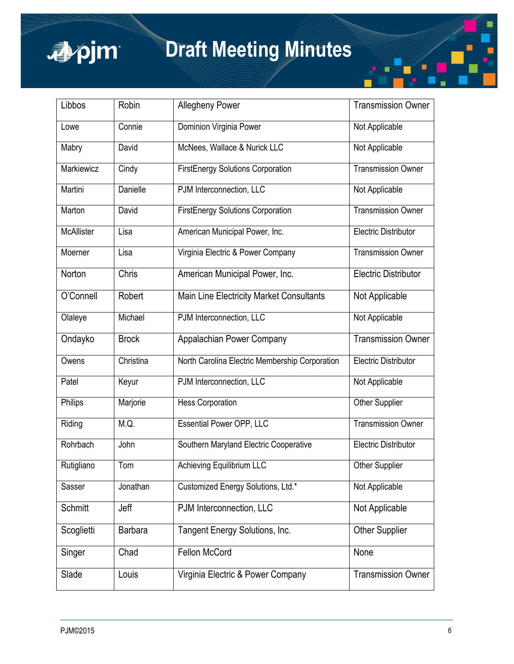

| Libbos            | Robin          | <b>Allegheny Power</b>                         | <b>Transmission Owner</b>   |
|-------------------|----------------|------------------------------------------------|-----------------------------|
| Lowe              | Connie         | Dominion Virginia Power                        | Not Applicable              |
| Mabry             | David          | McNees, Wallace & Nurick LLC                   | Not Applicable              |
| Markiewicz        | Cindy          | <b>FirstEnergy Solutions Corporation</b>       | <b>Transmission Owner</b>   |
| Martini           | Danielle       | PJM Interconnection, LLC                       | Not Applicable              |
| Marton            | David          | <b>FirstEnergy Solutions Corporation</b>       | <b>Transmission Owner</b>   |
| <b>McAllister</b> | Lisa           | American Municipal Power, Inc.                 | <b>Electric Distributor</b> |
| Moerner           | Lisa           | Virginia Electric & Power Company              | <b>Transmission Owner</b>   |
| Norton            | Chris          | American Municipal Power, Inc.                 | <b>Electric Distributor</b> |
| O'Connell         | Robert         | Main Line Electricity Market Consultants       | Not Applicable              |
| Olaleye           | Michael        | PJM Interconnection, LLC                       | Not Applicable              |
| Ondayko           | <b>Brock</b>   | Appalachian Power Company                      | <b>Transmission Owner</b>   |
| Owens             | Christina      | North Carolina Electric Membership Corporation | <b>Electric Distributor</b> |
| Patel             | Keyur          | PJM Interconnection, LLC                       | Not Applicable              |
| Philips           | Marjorie       | <b>Hess Corporation</b>                        | Other Supplier              |
| Riding            | M.Q.           | <b>Essential Power OPP, LLC</b>                | Transmission Owner          |
| Rohrbach          | John           | Southern Maryland Electric Cooperative         | <b>Electric Distributor</b> |
| Rutigliano        | Tom            | Achieving Equilibrium LLC                      | Other Supplier              |
| Sasser            | Jonathan       | Customized Energy Solutions, Ltd.*             | Not Applicable              |
| Schmitt           | Jeff           | PJM Interconnection, LLC                       | Not Applicable              |
| Scoglietti        | <b>Barbara</b> | Tangent Energy Solutions, Inc.                 | <b>Other Supplier</b>       |
| Singer            | Chad           | Fellon McCord                                  | None                        |
| Slade             | Louis          | Virginia Electric & Power Company              | <b>Transmission Owner</b>   |

П